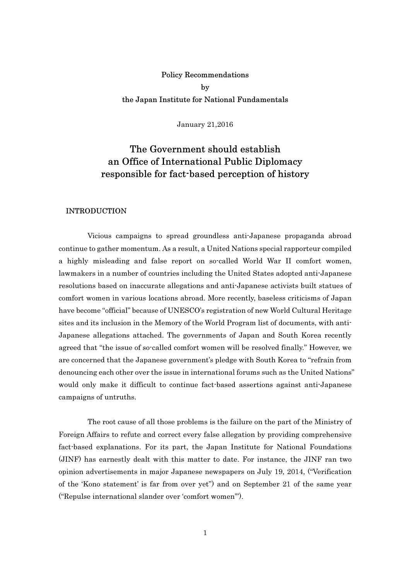## Policy Recommendations by the Japan Institute for National Fundamentals

January 21,2016

# The Government should establish an Office of International Public Diplomacy responsible for fact-based perception of history

#### INTRODUCTION

 Vicious campaigns to spread groundless anti-Japanese propaganda abroad continue to gather momentum. As a result, a United Nations special rapporteur compiled a highly misleading and false report on so-called World War II comfort women, lawmakers in a number of countries including the United States adopted anti-Japanese resolutions based on inaccurate allegations and anti-Japanese activists built statues of comfort women in various locations abroad. More recently, baseless criticisms of Japan have become "official" because of UNESCO's registration of new World Cultural Heritage sites and its inclusion in the Memory of the World Program list of documents, with anti-Japanese allegations attached. The governments of Japan and South Korea recently agreed that "the issue of so-called comfort women will be resolved finally." However, we are concerned that the Japanese government's pledge with South Korea to "refrain from denouncing each other over the issue in international forums such as the United Nations" would only make it difficult to continue fact-based assertions against anti-Japanese campaigns of untruths.

 The root cause of all those problems is the failure on the part of the Ministry of Foreign Affairs to refute and correct every false allegation by providing comprehensive fact-based explanations. For its part, the Japan Institute for National Foundations (JINF) has earnestly dealt with this matter to date. For instance, the JINF ran two opinion advertisements in major Japanese newspapers on July 19, 2014, ("Verification of the 'Kono statement' is far from over yet") and on September 21 of the same year ("Repulse international slander over 'comfort women'").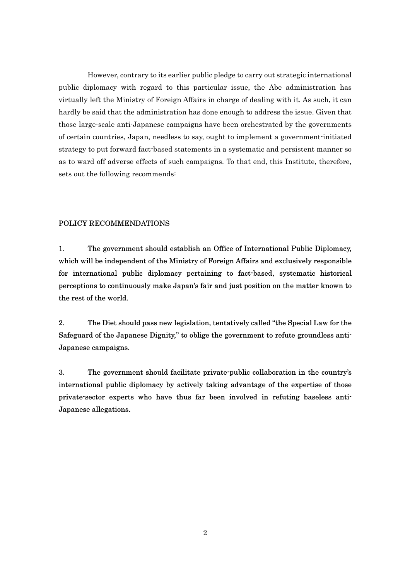However, contrary to its earlier public pledge to carry out strategic international public diplomacy with regard to this particular issue, the Abe administration has virtually left the Ministry of Foreign Affairs in charge of dealing with it. As such, it can hardly be said that the administration has done enough to address the issue. Given that those large-scale anti-Japanese campaigns have been orchestrated by the governments of certain countries, Japan, needless to say, ought to implement a government-initiated strategy to put forward fact-based statements in a systematic and persistent manner so as to ward off adverse effects of such campaigns. To that end, this Institute, therefore, sets out the following recommends:

### POLICY RECOMMENDATIONS

1. The government should establish an Office of International Public Diplomacy, which will be independent of the Ministry of Foreign Affairs and exclusively responsible for international public diplomacy pertaining to fact-based, systematic historical perceptions to continuously make Japan's fair and just position on the matter known to the rest of the world.

2. The Diet should pass new legislation, tentatively called "the Special Law for the Safeguard of the Japanese Dignity," to oblige the government to refute groundless anti-Japanese campaigns.

3. The government should facilitate private-public collaboration in the country's international public diplomacy by actively taking advantage of the expertise of those private-sector experts who have thus far been involved in refuting baseless anti-Japanese allegations.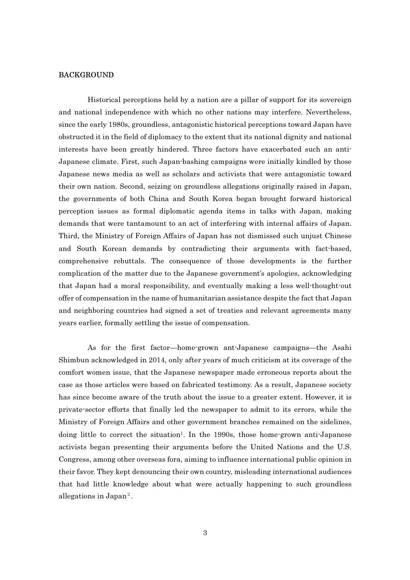#### BACKGROUND

 Historical perceptions held by a nation are a pillar of support for its sovereign and national independence with which no other nations may interfere. Nevertheless, since the early 1980s, groundless, antagonistic historical perceptions toward Japan have obstructed it in the field of diplomacy to the extent that its national dignity and national interests have been greatly hindered. Three factors have exacerbated such an anti-Japanese climate. First, such Japan-bashing campaigns were initially kindled by those Japanese news media as well as scholars and activists that were antagonistic toward their own nation. Second, seizing on groundless allegations originally raised in Japan, the governments of both China and South Korea began brought forward historical perception issues as formal diplomatic agenda items in talks with Japan, making demands that were tantamount to an act of interfering with internal affairs of Japan. Third, the Ministry of Foreign Affairs of Japan has not dismissed such unjust Chinese and South Korean demands by contradicting their arguments with fact-based, comprehensive rebuttals. The consequence of those developments is the further complication of the matter due to the Japanese government's apologies, acknowledging that Japan had a moral responsibility, and eventually making a less well-thought-out offer of compensation in the name of humanitarian assistance despite the fact that Japan and neighboring countries had signed a set of treaties and relevant agreements many years earlier, formally settling the issue of compensation.

 As for the first factor—home-grown ant-Japanese campaigns—the Asahi Shimbun acknowledged in 2014, only after years of much criticism at its coverage of the comfort women issue, that the Japanese newspaper made erroneous reports about the case as those articles were based on fabricated testimony. As a result, Japanese society has since become aware of the truth about the issue to a greater extent. However, it is private-sector efforts that finally led the newspaper to admit to its errors, while the Ministry of Foreign Affairs and other government branches remained on the sidelines, doing little to correct the situation<sup>1</sup>. In the 1990s, those home-grown anti-Japanese activists began presenting their arguments before the United Nations and the U.S. Congress, among other overseas fora, aiming to influence international public opinion in their favor. They kept denouncing their own country, misleading international audiences that had little knowledge about what were actually happening to such groundless allegations in Japan<sup>2</sup>.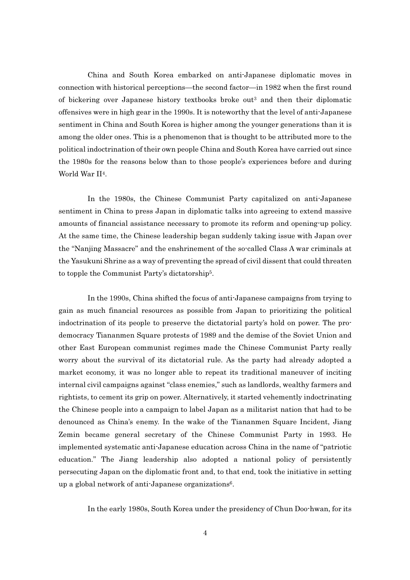China and South Korea embarked on anti-Japanese diplomatic moves in connection with historical perceptions—the second factor—in 1982 when the first round of bickering over Japanese history textbooks broke out<sup>3</sup> and then their diplomatic offensives were in high gear in the 1990s. It is noteworthy that the level of anti-Japanese sentiment in China and South Korea is higher among the younger generations than it is among the older ones. This is a phenomenon that is thought to be attributed more to the political indoctrination of their own people China and South Korea have carried out since the 1980s for the reasons below than to those people's experiences before and during World War II<sup>4</sup>.

 In the 1980s, the Chinese Communist Party capitalized on anti-Japanese sentiment in China to press Japan in diplomatic talks into agreeing to extend massive amounts of financial assistance necessary to promote its reform and opening-up policy. At the same time, the Chinese leadership began suddenly taking issue with Japan over the "Nanjing Massacre" and the enshrinement of the so-called Class A war criminals at the Yasukuni Shrine as a way of preventing the spread of civil dissent that could threaten to topple the Communist Party's dictatorship<sup>5</sup>.

In the 1990s, China shifted the focus of anti-Japanese campaigns from trying to gain as much financial resources as possible from Japan to prioritizing the political indoctrination of its people to preserve the dictatorial party's hold on power. The prodemocracy Tiananmen Square protests of 1989 and the demise of the Soviet Union and other East European communist regimes made the Chinese Communist Party really worry about the survival of its dictatorial rule. As the party had already adopted a market economy, it was no longer able to repeat its traditional maneuver of inciting internal civil campaigns against "class enemies," such as landlords, wealthy farmers and rightists, to cement its grip on power. Alternatively, it started vehemently indoctrinating the Chinese people into a campaign to label Japan as a militarist nation that had to be denounced as China's enemy. In the wake of the Tiananmen Square Incident, Jiang Zemin became general secretary of the Chinese Communist Party in 1993. He implemented systematic anti-Japanese education across China in the name of "patriotic education." The Jiang leadership also adopted a national policy of persistently persecuting Japan on the diplomatic front and, to that end, took the initiative in setting up a global network of anti-Japanese organizations<sup>6</sup>.

In the early 1980s, South Korea under the presidency of Chun Doo-hwan, for its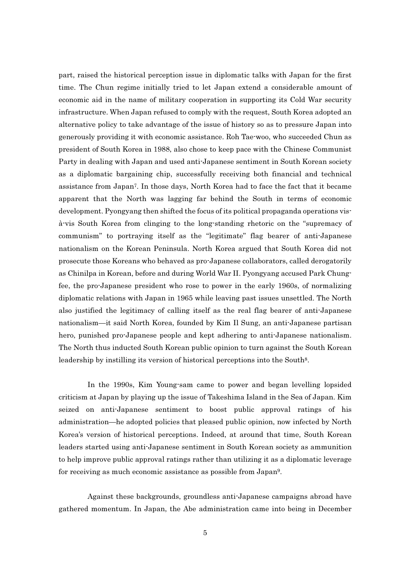part, raised the historical perception issue in diplomatic talks with Japan for the first time. The Chun regime initially tried to let Japan extend a considerable amount of economic aid in the name of military cooperation in supporting its Cold War security infrastructure. When Japan refused to comply with the request, South Korea adopted an alternative policy to take advantage of the issue of history so as to pressure Japan into generously providing it with economic assistance. Roh Tae-woo, who succeeded Chun as president of South Korea in 1988, also chose to keep pace with the Chinese Communist Party in dealing with Japan and used anti-Japanese sentiment in South Korean society as a diplomatic bargaining chip, successfully receiving both financial and technical assistance from Japan<sup>7</sup>. In those days, North Korea had to face the fact that it became apparent that the North was lagging far behind the South in terms of economic development. Pyongyang then shifted the focus of its political propaganda operations visà-vis South Korea from clinging to the long-standing rhetoric on the "supremacy of communism" to portraying itself as the "legitimate" flag bearer of anti-Japanese nationalism on the Korean Peninsula. North Korea argued that South Korea did not prosecute those Koreans who behaved as pro-Japanese collaborators, called derogatorily as Chinilpa in Korean, before and during World War II. Pyongyang accused Park Chungfee, the pro-Japanese president who rose to power in the early 1960s, of normalizing diplomatic relations with Japan in 1965 while leaving past issues unsettled. The North also justified the legitimacy of calling itself as the real flag bearer of anti-Japanese nationalism—it said North Korea, founded by Kim Il Sung, an anti-Japanese partisan hero, punished pro-Japanese people and kept adhering to anti-Japanese nationalism. The North thus inducted South Korean public opinion to turn against the South Korean leadership by instilling its version of historical perceptions into the South<sup>8</sup>.

 In the 1990s, Kim Young-sam came to power and began levelling lopsided criticism at Japan by playing up the issue of Takeshima Island in the Sea of Japan. Kim seized on anti-Japanese sentiment to boost public approval ratings of his administration—he adopted policies that pleased public opinion, now infected by North Korea's version of historical perceptions. Indeed, at around that time, South Korean leaders started using anti-Japanese sentiment in South Korean society as ammunition to help improve public approval ratings rather than utilizing it as a diplomatic leverage for receiving as much economic assistance as possible from Japan<sup>9</sup>.

 Against these backgrounds, groundless anti-Japanese campaigns abroad have gathered momentum. In Japan, the Abe administration came into being in December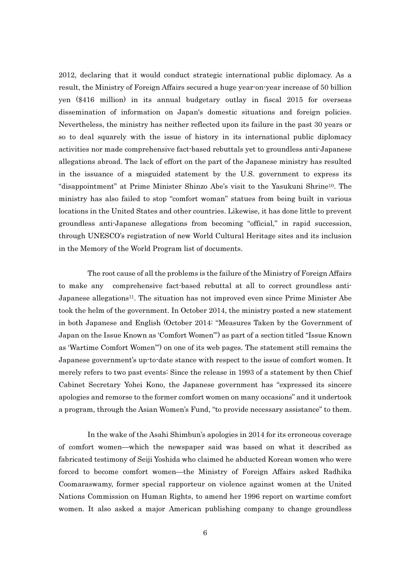2012, declaring that it would conduct strategic international public diplomacy. As a result, the Ministry of Foreign Affairs secured a huge year-on-year increase of 50 billion yen (\$416 million) in its annual budgetary outlay in fiscal 2015 for overseas dissemination of information on Japan's domestic situations and foreign policies. Nevertheless, the ministry has neither reflected upon its failure in the past 30 years or so to deal squarely with the issue of history in its international public diplomacy activities nor made comprehensive fact-based rebuttals yet to groundless anti-Japanese allegations abroad. The lack of effort on the part of the Japanese ministry has resulted in the issuance of a misguided statement by the U.S. government to express its "disappointment" at Prime Minister Shinzo Abe's visit to the Yasukuni Shrine<sup>10</sup>. The ministry has also failed to stop "comfort woman" statues from being built in various locations in the United States and other countries. Likewise, it has done little to prevent groundless anti-Japanese allegations from becoming "official," in rapid succession, through UNESCO's registration of new World Cultural Heritage sites and its inclusion in the Memory of the World Program list of documents.

 The root cause of all the problems is the failure of the Ministry of Foreign Affairs to make any comprehensive fact-based rebuttal at all to correct groundless anti-Japanese allegations<sup>11</sup>. The situation has not improved even since Prime Minister Abe took the helm of the government. In October 2014, the ministry posted a new statement in both Japanese and English (October 2014: "Measures Taken by the Government of Japan on the Issue Known as 'Comfort Women'") as part of a section titled "Issue Known as 'Wartime Comfort Women'") on one of its web pages. The statement still remains the Japanese government's up-to-date stance with respect to the issue of comfort women. It merely refers to two past events: Since the release in 1993 of a statement by then Chief Cabinet Secretary Yohei Kono, the Japanese government has "expressed its sincere apologies and remorse to the former comfort women on many occasions" and it undertook a program, through the Asian Women's Fund, "to provide necessary assistance" to them.

 In the wake of the Asahi Shimbun's apologies in 2014 for its erroneous coverage of comfort women—which the newspaper said was based on what it described as fabricated testimony of Seiji Yoshida who claimed he abducted Korean women who were forced to become comfort women—the Ministry of Foreign Affairs asked Radhika Coomaraswamy, former special rapporteur on violence against women at the United Nations Commission on Human Rights, to amend her 1996 report on wartime comfort women. It also asked a major American publishing company to change groundless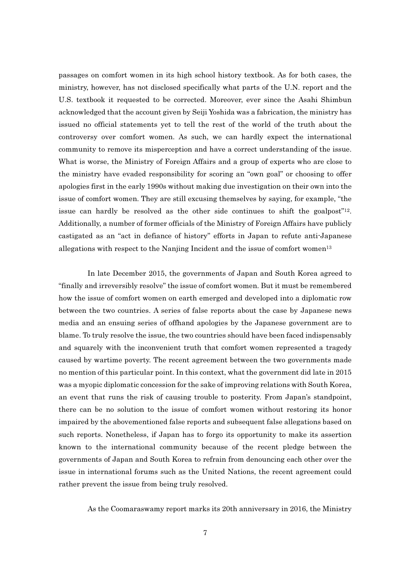passages on comfort women in its high school history textbook. As for both cases, the ministry, however, has not disclosed specifically what parts of the U.N. report and the U.S. textbook it requested to be corrected. Moreover, ever since the Asahi Shimbun acknowledged that the account given by Seiji Yoshida was a fabrication, the ministry has issued no official statements yet to tell the rest of the world of the truth about the controversy over comfort women. As such, we can hardly expect the international community to remove its misperception and have a correct understanding of the issue. What is worse, the Ministry of Foreign Affairs and a group of experts who are close to the ministry have evaded responsibility for scoring an "own goal" or choosing to offer apologies first in the early 1990s without making due investigation on their own into the issue of comfort women. They are still excusing themselves by saying, for example, "the issue can hardly be resolved as the other side continues to shift the goalpost"<sup>12</sup>. Additionally, a number of former officials of the Ministry of Foreign Affairs have publicly castigated as an "act in defiance of history" efforts in Japan to refute anti-Japanese allegations with respect to the Nanjing Incident and the issue of comfort women<sup>13</sup>

In late December 2015, the governments of Japan and South Korea agreed to "finally and irreversibly resolve" the issue of comfort women. But it must be remembered how the issue of comfort women on earth emerged and developed into a diplomatic row between the two countries. A series of false reports about the case by Japanese news media and an ensuing series of offhand apologies by the Japanese government are to blame. To truly resolve the issue, the two countries should have been faced indispensably and squarely with the inconvenient truth that comfort women represented a tragedy caused by wartime poverty. The recent agreement between the two governments made no mention of this particular point. In this context, what the government did late in 2015 was a myopic diplomatic concession for the sake of improving relations with South Korea, an event that runs the risk of causing trouble to posterity. From Japan's standpoint, there can be no solution to the issue of comfort women without restoring its honor impaired by the abovementioned false reports and subsequent false allegations based on such reports. Nonetheless, if Japan has to forgo its opportunity to make its assertion known to the international community because of the recent pledge between the governments of Japan and South Korea to refrain from denouncing each other over the issue in international forums such as the United Nations, the recent agreement could rather prevent the issue from being truly resolved.

As the Coomaraswamy report marks its 20th anniversary in 2016, the Ministry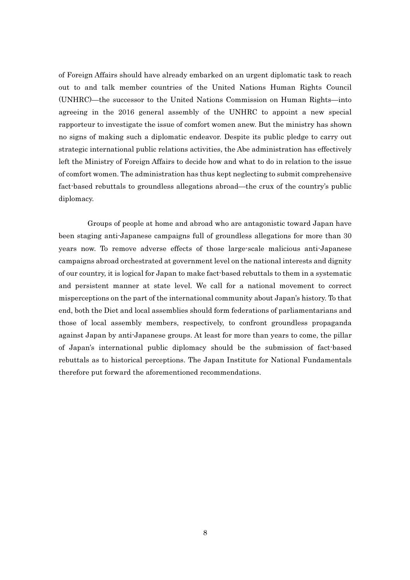of Foreign Affairs should have already embarked on an urgent diplomatic task to reach out to and talk member countries of the United Nations Human Rights Council (UNHRC)—the successor to the United Nations Commission on Human Rights—into agreeing in the 2016 general assembly of the UNHRC to appoint a new special rapporteur to investigate the issue of comfort women anew. But the ministry has shown no signs of making such a diplomatic endeavor. Despite its public pledge to carry out strategic international public relations activities, the Abe administration has effectively left the Ministry of Foreign Affairs to decide how and what to do in relation to the issue of comfort women. The administration has thus kept neglecting to submit comprehensive fact-based rebuttals to groundless allegations abroad—the crux of the country's public diplomacy.

 Groups of people at home and abroad who are antagonistic toward Japan have been staging anti-Japanese campaigns full of groundless allegations for more than 30 years now. To remove adverse effects of those large-scale malicious anti-Japanese campaigns abroad orchestrated at government level on the national interests and dignity of our country, it is logical for Japan to make fact-based rebuttals to them in a systematic and persistent manner at state level. We call for a national movement to correct misperceptions on the part of the international community about Japan's history. To that end, both the Diet and local assemblies should form federations of parliamentarians and those of local assembly members, respectively, to confront groundless propaganda against Japan by anti-Japanese groups. At least for more than years to come, the pillar of Japan's international public diplomacy should be the submission of fact-based rebuttals as to historical perceptions. The Japan Institute for National Fundamentals therefore put forward the aforementioned recommendations.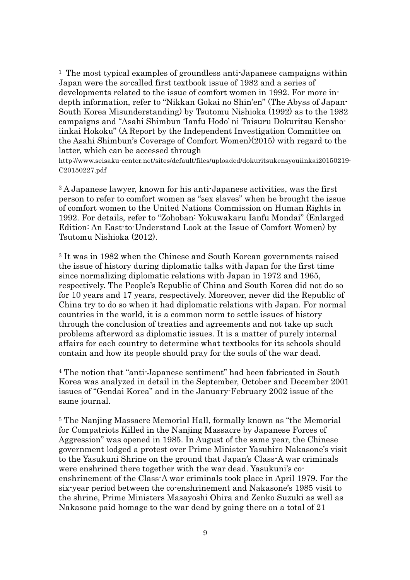<sup>1</sup> The most typical examples of groundless anti-Japanese campaigns within Japan were the so-called first textbook issue of 1982 and a series of developments related to the issue of comfort women in 1992. For more indepth information, refer to "Nikkan Gokai no Shin'en" (The Abyss of Japan-South Korea Misunderstanding) by Tsutomu Nishioka (1992) as to the 1982 campaigns and "Asahi Shimbun 'Ianfu Hodo' ni Taisuru Dokuritsu Kenshoiinkai Hokoku" (A Report by the Independent Investigation Committee on the Asahi Shimbun's Coverage of Comfort Women)(2015) with regard to the latter, which can be accessed through

http://www.seisaku-center.net/sites/default/files/uploaded/dokuritsukensyouiinkai20150219- C20150227.pdf

<sup>2</sup> A Japanese lawyer, known for his anti-Japanese activities, was the first person to refer to comfort women as "sex slaves" when he brought the issue of comfort women to the United Nations Commission on Human Rights in 1992. For details, refer to "Zohoban: Yokuwakaru Ianfu Mondai" (Enlarged Edition: An East-to-Understand Look at the Issue of Comfort Women) by Tsutomu Nishioka (2012).

<sup>3</sup> It was in 1982 when the Chinese and South Korean governments raised the issue of history during diplomatic talks with Japan for the first time since normalizing diplomatic relations with Japan in 1972 and 1965, respectively. The People's Republic of China and South Korea did not do so for 10 years and 17 years, respectively. Moreover, never did the Republic of China try to do so when it had diplomatic relations with Japan. For normal countries in the world, it is a common norm to settle issues of history through the conclusion of treaties and agreements and not take up such problems afterword as diplomatic issues. It is a matter of purely internal affairs for each country to determine what textbooks for its schools should contain and how its people should pray for the souls of the war dead.

<sup>4</sup> The notion that "anti-Japanese sentiment" had been fabricated in South Korea was analyzed in detail in the September, October and December 2001 issues of "Gendai Korea" and in the January-February 2002 issue of the same journal.

<sup>5</sup> The Nanjing Massacre Memorial Hall, formally known as "the Memorial for Compatriots Killed in the Nanjing Massacre by Japanese Forces of Aggression" was opened in 1985. In August of the same year, the Chinese government lodged a protest over Prime Minister Yasuhiro Nakasone's visit to the Yasukuni Shrine on the ground that Japan's Class-A war criminals were enshrined there together with the war dead. Yasukuni's coenshrinement of the Class-A war criminals took place in April 1979. For the six-year period between the co-enshrinement and Nakasone's 1985 visit to the shrine, Prime Ministers Masayoshi Ohira and Zenko Suzuki as well as Nakasone paid homage to the war dead by going there on a total of 21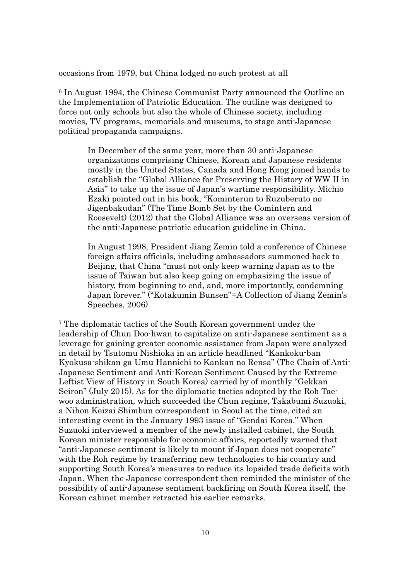occasions from 1979, but China lodged no such protest at all

<sup>6</sup> In August 1994, the Chinese Communist Party announced the Outline on the Implementation of Patriotic Education. The outline was designed to force not only schools but also the whole of Chinese society, including movies, TV programs, memorials and museums, to stage anti-Japanese political propaganda campaigns.

In December of the same year, more than 30 anti-Japanese organizations comprising Chinese, Korean and Japanese residents mostly in the United States, Canada and Hong Kong joined hands to establish the "Global Alliance for Preserving the History of WW II in Asia" to take up the issue of Japan's wartime responsibility. Michio Ezaki pointed out in his book, "Kominterun to Ruzuberuto no Jigenbakudan" (The Time Bomb Set by the Comintern and Roosevelt) (2012) that the Global Alliance was an overseas version of the anti-Japanese patriotic education guideline in China.

In August 1998, President Jiang Zemin told a conference of Chinese foreign affairs officials, including ambassadors summoned back to Beijing, that China "must not only keep warning Japan as to the issue of Taiwan but also keep going on emphasizing the issue of history, from beginning to end, and, more importantly, condemning Japan forever." ("Kotakumin Bunsen"=A Collection of Jiang Zemin's Speeches, 2006)

<sup>7</sup> The diplomatic tactics of the South Korean government under the leadership of Chun Doo-hwan to capitalize on anti-Japanese sentiment as a leverage for gaining greater economic assistance from Japan were analyzed in detail by Tsutomu Nishioka in an article headlined "Kankoku-ban Kyokusa-shikan ga Umu Hannichi to Kankan no Rensa" (The Chain of Anti-Japanese Sentiment and Anti-Korean Sentiment Caused by the Extreme Leftist View of History in South Korea) carried by of monthly "Gekkan Seiron" (July 2015). As for the diplomatic tactics adopted by the Roh Taewoo administration, which succeeded the Chun regime, Takabumi Suzuoki, a Nihon Keizai Shimbun correspondent in Seoul at the time, cited an interesting event in the January 1993 issue of "Gendai Korea." When Suzuoki interviewed a member of the newly installed cabinet, the South Korean minister responsible for economic affairs, reportedly warned that "anti-Japanese sentiment is likely to mount if Japan does not cooperate" with the Roh regime by transferring new technologies to his country and supporting South Korea's measures to reduce its lopsided trade deficits with Japan. When the Japanese correspondent then reminded the minister of the possibility of anti-Japanese sentiment backfiring on South Korea itself, the Korean cabinet member retracted his earlier remarks.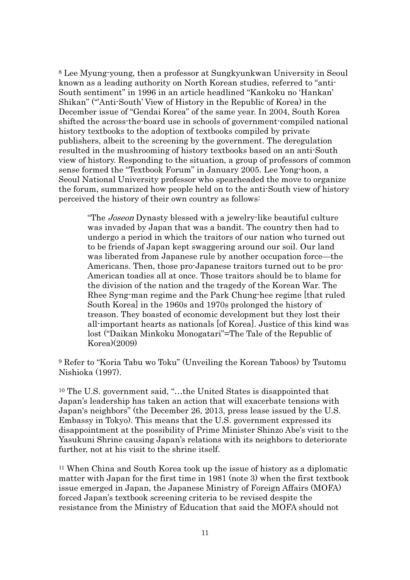<sup>8</sup> Lee Myung-young, then a professor at Sungkyunkwan University in Seoul known as a leading authority on North Korean studies, referred to "anti-South sentiment" in 1996 in an article headlined "Kankoku no 'Hankan' Shikan" ("'Anti-South' View of History in the Republic of Korea) in the December issue of "Gendai Korea" of the same year. In 2004, South Korea shifted the across-the-board use in schools of government-compiled national history textbooks to the adoption of textbooks compiled by private publishers, albeit to the screening by the government. The deregulation resulted in the mushrooming of history textbooks based on an anti-South view of history. Responding to the situation, a group of professors of common sense formed the "Textbook Forum" in January 2005. Lee Yong-hoon, a Seoul National University professor who spearheaded the move to organize the forum, summarized how people held on to the anti-South view of history perceived the history of their own country as follows:

"The Joseon Dynasty blessed with a jewelry-like beautiful culture was invaded by Japan that was a bandit. The country then had to undergo a period in which the traitors of our nation who turned out to be friends of Japan kept swaggering around our soil. Our land was liberated from Japanese rule by another occupation force—the Americans. Then, those pro-Japanese traitors turned out to be pro-American toadies all at once. Those traitors should be to blame for the division of the nation and the tragedy of the Korean War. The Rhee Syng-man regime and the Park Chung-hee regime [that ruled South Korea] in the 1960s and 1970s prolonged the history of treason. They boasted of economic development but they lost their all-important hearts as nationals [of Korea]. Justice of this kind was lost ("Daikan Minkoku Monogatari"=The Tale of the Republic of Korea)(2009)

<sup>9</sup> Refer to "Koria Tabu wo Toku" (Unveiling the Korean Taboos) by Tsutomu Nishioka (1997).

<sup>10</sup> The U.S. government said, "…the United States is disappointed that Japan's leadership has taken an action that will exacerbate tensions with Japan's neighbors" (the December 26, 2013, press lease issued by the U.S. Embassy in Tokyo). This means that the U.S. government expressed its disappointment at the possibility of Prime Minister Shinzo Abe's visit to the Yasukuni Shrine causing Japan's relations with its neighbors to deteriorate further, not at his visit to the shrine itself.

<sup>11</sup> When China and South Korea took up the issue of history as a diplomatic matter with Japan for the first time in 1981 (note 3) when the first textbook issue emerged in Japan, the Japanese Ministry of Foreign Affairs (MOFA) forced Japan's textbook screening criteria to be revised despite the resistance from the Ministry of Education that said the MOFA should not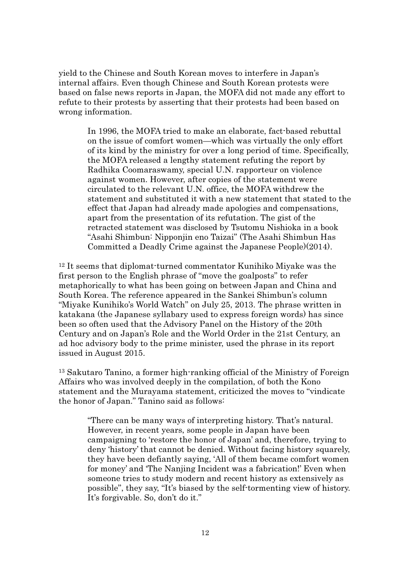yield to the Chinese and South Korean moves to interfere in Japan's internal affairs. Even though Chinese and South Korean protests were based on false news reports in Japan, the MOFA did not made any effort to refute to their protests by asserting that their protests had been based on wrong information.

> In 1996, the MOFA tried to make an elaborate, fact-based rebuttal on the issue of comfort women—which was virtually the only effort of its kind by the ministry for over a long period of time. Specifically, the MOFA released a lengthy statement refuting the report by Radhika Coomaraswamy, special U.N. rapporteur on violence against women. However, after copies of the statement were circulated to the relevant U.N. office, the MOFA withdrew the statement and substituted it with a new statement that stated to the effect that Japan had already made apologies and compensations, apart from the presentation of its refutation. The gist of the retracted statement was disclosed by Tsutomu Nishioka in a book "Asahi Shimbun: Nipponjin eno Taizai" (The Asahi Shimbun Has Committed a Deadly Crime against the Japanese People)(2014).

<sup>12</sup> It seems that diplomat-turned commentator Kunihiko Miyake was the first person to the English phrase of "move the goalposts" to refer metaphorically to what has been going on between Japan and China and South Korea. The reference appeared in the Sankei Shimbun's column "Miyake Kunihiko's World Watch" on July 25, 2013. The phrase written in katakana (the Japanese syllabary used to express foreign words) has since been so often used that the Advisory Panel on the History of the 20th Century and on Japan's Role and the World Order in the 21st Century, an ad hoc advisory body to the prime minister, used the phrase in its report issued in August 2015.

<sup>13</sup> Sakutaro Tanino, a former high-ranking official of the Ministry of Foreign Affairs who was involved deeply in the compilation, of both the Kono statement and the Murayama statement, criticized the moves to "vindicate the honor of Japan." Tanino said as follows:

"There can be many ways of interpreting history. That's natural. However, in recent years, some people in Japan have been campaigning to 'restore the honor of Japan' and, therefore, trying to deny 'history' that cannot be denied. Without facing history squarely, they have been defiantly saying, 'All of them became comfort women for money' and 'The Nanjing Incident was a fabrication!' Even when someone tries to study modern and recent history as extensively as possible", they say, "It's biased by the self-tormenting view of history. It's forgivable. So, don't do it."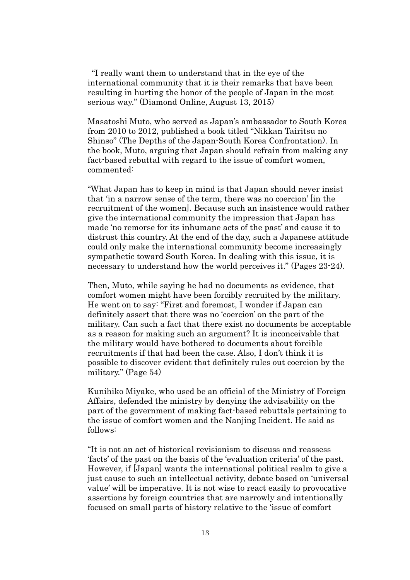"I really want them to understand that in the eye of the international community that it is their remarks that have been resulting in hurting the honor of the people of Japan in the most serious way." (Diamond Online, August 13, 2015)

Masatoshi Muto, who served as Japan's ambassador to South Korea from 2010 to 2012, published a book titled "Nikkan Tairitsu no Shinso" (The Depths of the Japan-South Korea Confrontation). In the book, Muto, arguing that Japan should refrain from making any fact-based rebuttal with regard to the issue of comfort women, commented:

"What Japan has to keep in mind is that Japan should never insist that 'in a narrow sense of the term, there was no coercion' [in the recruitment of the women]. Because such an insistence would rather give the international community the impression that Japan has made 'no remorse for its inhumane acts of the past' and cause it to distrust this country. At the end of the day, such a Japanese attitude could only make the international community become increasingly sympathetic toward South Korea. In dealing with this issue, it is necessary to understand how the world perceives it." (Pages 23-24).

Then, Muto, while saying he had no documents as evidence, that comfort women might have been forcibly recruited by the military. He went on to say: "First and foremost, I wonder if Japan can definitely assert that there was no 'coercion' on the part of the military. Can such a fact that there exist no documents be acceptable as a reason for making such an argument? It is inconceivable that the military would have bothered to documents about forcible recruitments if that had been the case. Also, I don't think it is possible to discover evident that definitely rules out coercion by the military." (Page 54)

Kunihiko Miyake, who used be an official of the Ministry of Foreign Affairs, defended the ministry by denying the advisability on the part of the government of making fact-based rebuttals pertaining to the issue of comfort women and the Nanjing Incident. He said as follows:

"It is not an act of historical revisionism to discuss and reassess 'facts' of the past on the basis of the 'evaluation criteria' of the past. However, if [Japan] wants the international political realm to give a just cause to such an intellectual activity, debate based on 'universal value' will be imperative. It is not wise to react easily to provocative assertions by foreign countries that are narrowly and intentionally focused on small parts of history relative to the 'issue of comfort